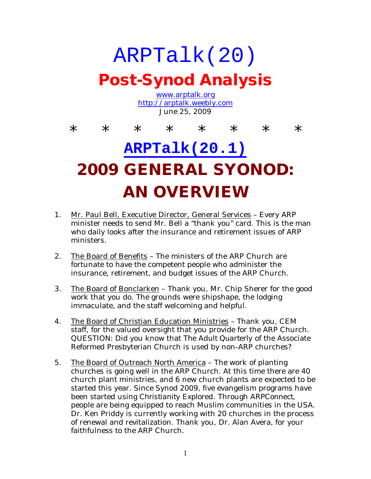### ARPTalk(20) **Post-Synod Analysis** www.arptalk.org http://arptalk.weebly.com June 25, 2009 \* \* \* \* \* \* \* \* \*

# **ARPTalk(20.1) 2009 GENERAL SYONOD: AN OVERVIEW**

- 1. Mr. Paul Bell, Executive Director, General Services Every ARP minister needs to send Mr. Bell a "thank you" card. This is the man who daily looks after the insurance and retirement issues of ARP ministers.
- 2. The Board of Benefits The ministers of the ARP Church are fortunate to have the competent people who administer the insurance, retirement, and budget issues of the ARP Church.
- 3. The Board of Bonclarken Thank you, Mr. Chip Sherer for the good work that you do. The grounds were shipshape, the lodging immaculate, and the staff welcoming and helpful.
- 4. The Board of Christian Education Ministries Thank you, CEM staff, for the valued oversight that you provide for the ARP Church. QUESTION: Did you know that *The Adult Quarterly* of the Associate Reformed Presbyterian Church is used by non-ARP churches?
- 5. The Board of Outreach North America The work of planting churches is going well in the ARP Church. At this time there are 40 church plant ministries, and 6 new church plants are expected to be started this year. Since Synod 2009, five evangelism programs have been started using *Christianity Explored*. Through *ARPConnect*, people are being equipped to reach Muslim communities in the USA. Dr. Ken Priddy is currently working with 20 churches in the process of renewal and revitalization. Thank you, Dr. Alan Avera, for your faithfulness to the ARP Church.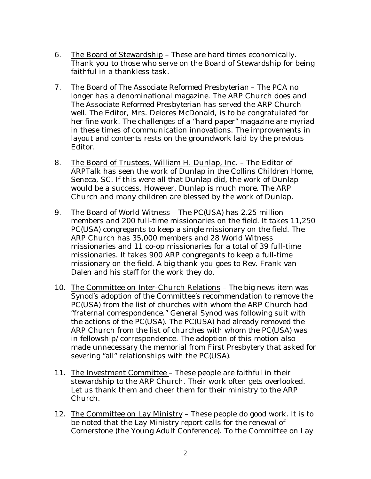- 6. The Board of Stewardship These are hard times economically. Thank you to those who serve on the Board of Stewardship for being faithful in a thankless task.
- 7. The Board of *The Associate Reformed Presbyterian* The PCA no longer has a denominational magazine. The ARP Church does and *The Associate Reformed Presbyterian* has served the ARP Church well. The Editor, Mrs. Delores McDonald, is to be congratulated for her fine work. The challenges of a "hard paper" magazine are myriad in these times of communication innovations. The improvements in layout and contents rests on the groundwork laid by the previous Editor.
- 8. The Board of Trustees, William H. Dunlap, Inc. The Editor of ARPTalk has seen the work of Dunlap in the Collins Children Home, Seneca, SC. If this were all that Dunlap did, the work of Dunlap would be a success. However, Dunlap is much more. The ARP Church and many children are blessed by the work of Dunlap.
- 9. The Board of World Witness The PC(USA) has 2.25 million members and 200 full-time missionaries on the field. It takes 11,250 PC(USA) congregants to keep a single missionary on the field. The ARP Church has 35,000 members and 28 World Witness missionaries and 11 co-op missionaries for a total of 39 full-time missionaries. It takes 900 ARP congregants to keep a full-time missionary on the field. A big thank you goes to Rev. Frank van Dalen and his staff for the work they do.
- 10. The Committee on Inter-Church Relations The big news item was Synod's adoption of the Committee's recommendation to remove the PC(USA) from the list of churches with whom the ARP Church had "fraternal correspondence." General Synod was following suit with the actions of the PC(USA). The PC(USA) had already removed the ARP Church from the list of churches with whom the PC(USA) was in fellowship/correspondence. The adoption of this motion also made unnecessary the memorial from First Presbytery that asked for severing "all" relationships with the PC(USA).
- 11. The Investment Committee These people are faithful in their stewardship to the ARP Church. Their work often gets overlooked. Let us thank them and cheer them for their ministry to the ARP Church.
- 12. The Committee on Lay Ministry These people do good work. It is to be noted that the Lay Ministry report calls for the renewal of *Cornerstone* (the Young Adult Conference). To the Committee on Lay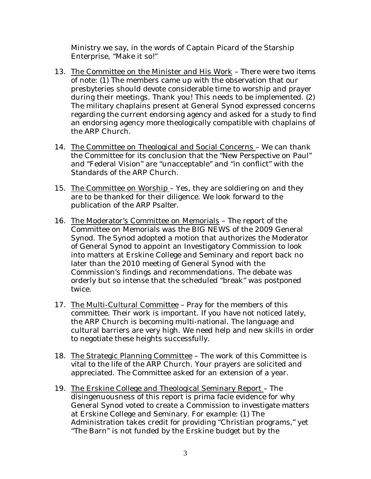Ministry we say, in the words of Captain Picard of the Starship Enterprise, "Make it so!"

- 13. The Committee on the Minister and His Work There were two items of note: (1) The members came up with the observation that our presbyteries should devote considerable time to worship and prayer during their meetings. Thank you! This needs to be implemented. (2) The military chaplains present at General Synod expressed concerns regarding the current endorsing agency and asked for a study to find an endorsing agency more theologically compatible with chaplains of the ARP Church.
- 14. The Committee on Theological and Social Concerns We can thank the Committee for its conclusion that the "New Perspective on Paul" and "Federal Vision" are "unacceptable" and "in conflict" with the Standards of the ARP Church.
- 15. The Committee on Worship Yes, they are soldiering on and they are to be thanked for their diligence. We look forward to the publication of the *ARP Psalter*.
- 16. The Moderator's Committee on Memorials The report of the Committee on Memorials was the BIG NEWS of the 2009 General Synod. The Synod adopted a motion that authorizes the Moderator of General Synod to appoint an Investigatory Commission to look into matters at Erskine College and Seminary and report back no later than the 2010 meeting of General Synod with the Commission's findings and recommendations. The debate was orderly but so intense that the scheduled "break" was postponed twice.
- 17. The Multi-Cultural Committee Pray for the members of this committee. Their work is important. If you have not noticed lately, the ARP Church is becoming multi-national. The language and cultural barriers are very high. We need help and new skills in order to negotiate these heights successfully.
- 18. The Strategic Planning Committee The work of this Committee is vital to the life of the ARP Church. Your prayers are solicited and appreciated. The Committee asked for an extension of a year.
- 19. The Erskine College and Theological Seminary Report The disingenuousness of this report is prima facie evidence for why General Synod voted to create a Commission to investigate matters at Erskine College and Seminary. For example: (1) The Administration takes credit for providing "Christian programs," yet "The Barn" is not funded by the Erskine budget but by the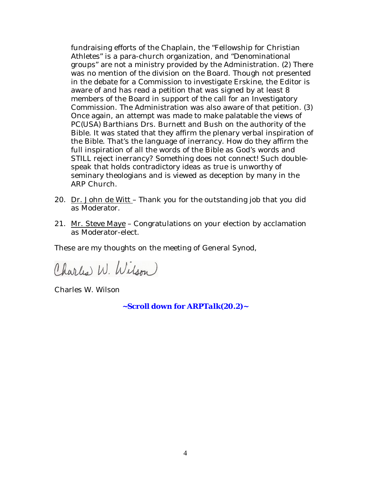fundraising efforts of the Chaplain, the "Fellowship for Christian Athletes" is a para-church organization, and "Denominational groups" are not a ministry provided by the Administration. (2) There was no mention of the division on the Board. Though not presented in the debate for a Commission to investigate Erskine, the Editor is aware of and has read a petition that was signed by at least 8 members of the Board in support of the call for an Investigatory Commission. The Administration was also aware of that petition. (3) Once again, an attempt was made to make palatable the views of PC(USA) Barthians Drs. Burnett and Bush on the authority of the Bible. It was stated that they affirm the plenary verbal inspiration of the Bible. That's the language of inerrancy. How do they affirm the full inspiration of all the words of the Bible as God's words and STILL reject inerrancy? Something does not connect! Such doublespeak that holds contradictory ideas as true is unworthy of seminary theologians and is viewed as deception by many in the ARP Church.

- 20. Dr. John de Witt Thank you for the outstanding job that you did as Moderator.
- 21. Mr. Steve Maye Congratulations on your election by acclamation as Moderator-elect.

These are my thoughts on the meeting of General Synod,

Charles W. Wilson)

Charles W. Wilson

**~Scroll down for** *ARPTalk(20.2)~*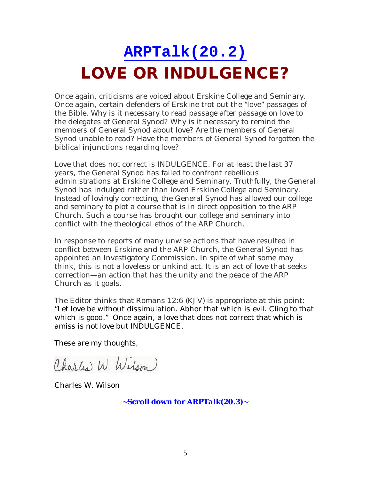### **ARPTalk(20.2) LOVE OR INDULGENCE?**

Once again, criticisms are voiced about Erskine College and Seminary. Once again, certain defenders of Erskine trot out the "love" passages of the Bible. Why is it necessary to read passage after passage on love to the delegates of General Synod? Why is it necessary to remind the members of General Synod about love? Are the members of General Synod unable to read? Have the members of General Synod forgotten the biblical injunctions regarding love?

Love that does not correct is INDULGENCE. For at least the last 37 years, the General Synod has failed to confront rebellious administrations at Erskine College and Seminary. Truthfully, the General Synod has indulged rather than loved Erskine College and Seminary. Instead of lovingly correcting, the General Synod has allowed our college and seminary to plot a course that is in direct opposition to the ARP Church. Such a course has brought our college and seminary into conflict with the theological ethos of the ARP Church.

In response to reports of many unwise actions that have resulted in conflict between Erskine and the ARP Church, the General Synod has appointed an Investigatory Commission. In spite of what some may think, this is not a loveless or unkind act. It is an act of love that seeks correction—an action that has the unity and the peace of the ARP Church as it goals.

The Editor thinks that Romans 12:6 (KJV) is appropriate at this point: "Let love be without dissimulation. Abhor that which is evil. Cling to that which is good." Once again, a love that does not correct that which is amiss is not love but INDULGENCE.

These are my thoughts,

Charles W. Wilson)

Charles W. Wilson

**~Scroll down for** *ARPTalk(20.3)~*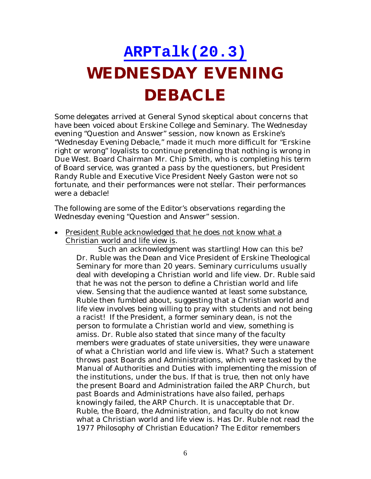# **ARPTalk(20.3) WEDNESDAY EVENING DEBACLE**

Some delegates arrived at General Synod skeptical about concerns that have been voiced about Erskine College and Seminary. The Wednesday evening "Question and Answer" session, now known as Erskine's "Wednesday Evening Debacle," made it much more difficult for "Erskine right or wrong" loyalists to continue pretending that nothing is wrong in Due West. Board Chairman Mr. Chip Smith, who is completing his term of Board service, was granted a pass by the questioners, but President Randy Ruble and Executive Vice President Neely Gaston were not so fortunate, and their performances were not stellar. Their performances were a debacle!

The following are some of the Editor's observations regarding the Wednesday evening "Question and Answer" session.

• President Ruble acknowledged that he does not know what a Christian world and life view is.

Such an acknowledgment was startling! How can this be? Dr. Ruble was the Dean and Vice President of Erskine Theological Seminary for more than 20 years. Seminary curriculums usually deal with developing a Christian world and life view. Dr. Ruble said that he was not the person to define a Christian world and life view. Sensing that the audience wanted at least some substance, Ruble then fumbled about, suggesting that a Christian world and life view involves being willing to pray with students and not being a racist! If the President, a former seminary dean, is not the person to formulate a Christian world and view, something is amiss. Dr. Ruble also stated that since many of the faculty members were graduates of state universities, they were unaware of what a Christian world and life view is. What? Such a statement throws past Boards and Administrations, which were tasked by the Manual of Authorities and Duties with implementing the mission of the institutions, under the bus. If that is true, then not only have the present Board and Administration failed the ARP Church, but past Boards and Administrations have also failed, perhaps knowingly failed, the ARP Church. It is unacceptable that Dr. Ruble, the Board, the Administration, and faculty do not know what a Christian world and life view is. Has Dr. Ruble not read the 1977 *Philosophy of Christian Education*? The Editor remembers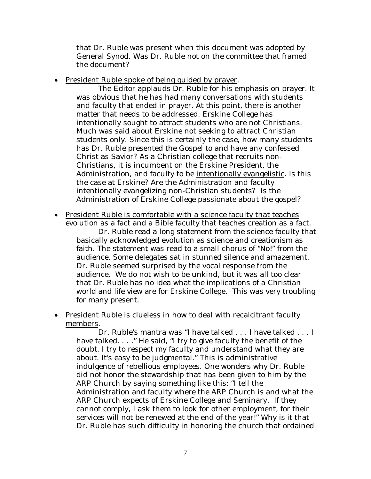that Dr. Ruble was present when this document was adopted by General Synod. Was Dr. Ruble not on the committee that framed the document?

• President Ruble spoke of being guided by prayer.

The Editor applauds Dr. Ruble for his emphasis on prayer. It was obvious that he has had many conversations with students and faculty that ended in prayer. At this point, there is another matter that needs to be addressed. Erskine College has intentionally sought to attract students who are not Christians. Much was said about Erskine not seeking to attract Christian students only. Since this is certainly the case, how many students has Dr. Ruble presented the Gospel to and have any confessed Christ as Savior? As a Christian college that recruits non-Christians, it is incumbent on the Erskine President, the Administration, and faculty to be intentionally evangelistic. Is this the case at Erskine? Are the Administration and faculty intentionally evangelizing non-Christian students? Is the Administration of Erskine College passionate about the gospel?

• President Ruble is comfortable with a science faculty that teaches evolution as a fact and a Bible faculty that teaches creation as a fact.

Dr. Ruble read a long statement from the science faculty that basically acknowledged evolution as science and creationism as faith. The statement was read to a small chorus of "No!" from the audience. Some delegates sat in stunned silence and amazement. Dr. Ruble seemed surprised by the vocal response from the audience. We do not wish to be unkind, but it was all too clear that Dr. Ruble has no idea what the implications of a Christian world and life view are for Erskine College. This was very troubling for many present.

• President Ruble is clueless in how to deal with recalcitrant faculty members.

Dr. Ruble's mantra was "I have talked . . . I have talked . . . I have talked. . . . " He said, "I try to give faculty the benefit of the doubt. I try to respect my faculty and understand what they are about. It's easy to be judgmental." This is administrative indulgence of rebellious employees. One wonders why Dr. Ruble did not honor the stewardship that has been given to him by the ARP Church by saying something like this: "I tell the Administration and faculty where the ARP Church is and what the ARP Church expects of Erskine College and Seminary. If they cannot comply, I ask them to look for other employment, for their services will not be renewed at the end of the year!" Why is it that Dr. Ruble has such difficulty in honoring the church that ordained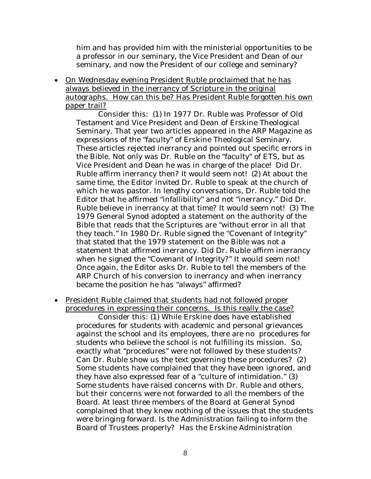him and has provided him with the ministerial opportunities to be a professor in our seminary, the Vice President and Dean of our seminary, and now the President of our college and seminary?

 On Wednesday evening President Ruble proclaimed that he has always believed in the inerrancy of Scripture in the original autographs. How can this be? Has President Ruble forgotten his own paper trail?

Consider this: (1) In 1977 Dr. Ruble was Professor of Old Testament and Vice President and Dean of Erskine Theological Seminary. That year two articles appeared in the *ARP Magazine* as expressions of the "faculty" of Erskine Theological Seminary. These articles rejected inerrancy and pointed out specific errors in the Bible. Not only was Dr. Ruble on the "faculty" of ETS, but as Vice President and Dean he was in charge of the place! Did Dr. Ruble affirm inerrancy then? It would seem not! (2) At about the same time, the Editor invited Dr. Ruble to speak at the church of which he was pastor. In lengthy conversations, Dr. Ruble told the Editor that he affirmed "infallibility" and not "inerrancy." Did Dr. Ruble believe in inerrancy at that time? It would seem not! (3) The 1979 General Synod adopted a statement on the authority of the Bible that reads that the Scriptures are "without error in all that they teach." In 1980 Dr. Ruble signed the "Covenant of Integrity" that stated that the 1979 statement on the Bible was not a statement that affirmed inerrancy. Did Dr. Ruble affirm inerrancy when he signed the "Covenant of Integrity?" It would seem not! Once again, the Editor asks Dr. Ruble to tell the members of the ARP Church of his conversion to inerrancy and when inerrancy became the position he has "always" affirmed?

 President Ruble claimed that students had not followed proper procedures in expressing their concerns. Is this really the case?

Consider this: (1) While Erskine does have established procedures for students with academic and personal grievances against the school and its employees, there are no procedures for students who believe the school is not fulfilling its mission. So, exactly what "procedures" were not followed by these students? Can Dr. Ruble show us the text governing these procedures? (2) Some students have complained that they have been ignored, and they have also expressed fear of a "culture of intimidation." (3) Some students have raised concerns with Dr. Ruble and others, but their concerns were not forwarded to all the members of the Board. At least three members of the Board at General Synod complained that they knew nothing of the issues that the students were bringing forward. Is the Administration failing to inform the Board of Trustees properly? Has the Erskine Administration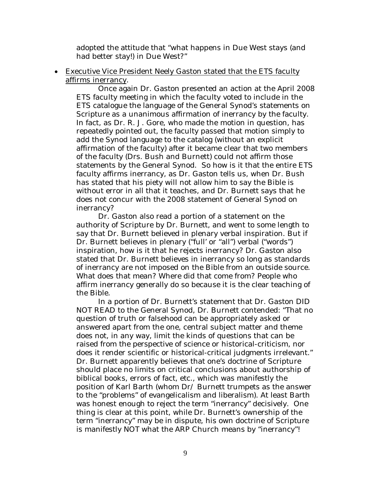adopted the attitude that "what happens in Due West stays (and had better stay!) in Due West?"

 Executive Vice President Neely Gaston stated that the ETS faculty affirms inerrancy.

Once again Dr. Gaston presented an action at the April 2008 ETS faculty meeting in which the faculty voted to include in the ETS catalogue the language of the General Synod's statements on Scripture as a unanimous affirmation of inerrancy by the faculty. In fact, as Dr. R. J. Gore, who made the motion in question, has repeatedly pointed out, the faculty passed that motion simply to add the Synod language to the catalog (without an explicit affirmation of the faculty) after it became clear that two members of the faculty (Drs. Bush and Burnett) could not affirm those statements by the General Synod. So how is it that the entire ETS faculty affirms inerrancy, as Dr. Gaston tells us, when Dr. Bush has stated that his piety will not allow him to say the Bible is without error in all that it teaches, and Dr. Burnett says that he does not concur with the 2008 statement of General Synod on inerrancy?

Dr. Gaston also read a portion of a statement on the authority of Scripture by Dr. Burnett, and went to some length to say that Dr. Burnett believed in plenary verbal inspiration. But if Dr. Burnett believes in plenary ("full' or "all") verbal ("words") inspiration, how is it that he rejects inerrancy? Dr. Gaston also stated that Dr. Burnett believes in inerrancy so long as standards of inerrancy are not imposed on the Bible from an outside source. What does that mean? Where did that come from? People who affirm inerrancy generally do so because it is the clear teaching of the Bible.

In a portion of Dr. Burnett's statement that Dr. Gaston DID NOT READ to the General Synod, Dr. Burnett contended: "That no question of truth or falsehood can be appropriately asked or answered apart from the one, central subject matter and theme does not, in any way, limit the kinds of questions that can be raised from the perspective of science or historical-criticism, nor does it render scientific or historical-critical judgments irrelevant." Dr. Burnett apparently believes that one's doctrine of Scripture should place no limits on critical conclusions about authorship of biblical books, errors of fact, etc., which was manifestly the position of Karl Barth (whom Dr/ Burnett trumpets as the answer to the "problems" of evangelicalism and liberalism). At least Barth was honest enough to reject the term "inerrancy" decisively. One thing is clear at this point, while Dr. Burnett's ownership of the term "inerrancy" may be in dispute, his own doctrine of Scripture is manifestly NOT what the ARP Church means by "inerrancy"!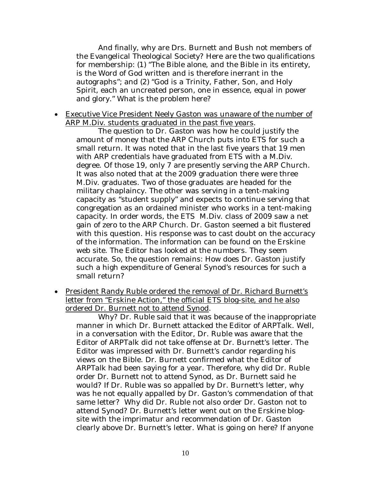And finally, why are Drs. Burnett and Bush not members of the Evangelical Theological Society? Here are the two qualifications for membership: (1) "The Bible alone, and the Bible in its entirety, is the Word of God written and is therefore inerrant in the autographs"; and (2) "God is a Trinity, Father, Son, and Holy Spirit, each an uncreated person, one in essence, equal in power and glory." What is the problem here?

 Executive Vice President Neely Gaston was unaware of the number of ARP M.Div. students graduated in the past five years.

The question to Dr. Gaston was how he could justify the amount of money that the ARP Church puts into ETS for such a small return. It was noted that in the last five years that 19 men with ARP credentials have graduated from ETS with a M.Div. degree. Of those 19, only 7 are presently serving the ARP Church. It was also noted that at the 2009 graduation there were three M.Div. graduates. Two of those graduates are headed for the military chaplaincy. The other was serving in a tent-making capacity as "student supply" and expects to continue serving that congregation as an ordained minister who works in a tent-making capacity. In order words, the ETS M.Div. class of 2009 saw a net gain of zero to the ARP Church. Dr. Gaston seemed a bit flustered with this question. His response was to cast doubt on the accuracy of the information. The information can be found on the Erskine web site. The Editor has looked at the numbers. They seem accurate. So, the question remains: How does Dr. Gaston justify such a high expenditure of General Synod's resources for such a small return?

 President Randy Ruble ordered the removal of Dr. Richard Burnett's letter from "Erskine Action," the official ETS blog-site, and he also ordered Dr. Burnett not to attend Synod.

Why? Dr. Ruble said that it was because of the inappropriate manner in which Dr. Burnett attacked the Editor of *ARPTalk*. Well, in a conversation with the Editor, Dr. Ruble was aware that the Editor of *ARPTalk* did not take offense at Dr. Burnett's letter. The Editor was impressed with Dr. Burnett's candor regarding his views on the Bible. Dr. Burnett confirmed what the Editor of *ARPTalk* had been saying for a year. Therefore, why did Dr. Ruble order Dr. Burnett not to attend Synod, as Dr. Burnett said he would? If Dr. Ruble was so appalled by Dr. Burnett's letter, why was he not equally appalled by Dr. Gaston's commendation of that same letter? Why did Dr. Ruble not also order Dr. Gaston not to attend Synod? Dr. Burnett's letter went out on the Erskine blogsite with the imprimatur and recommendation of Dr. Gaston clearly above Dr. Burnett's letter. What is going on here? If anyone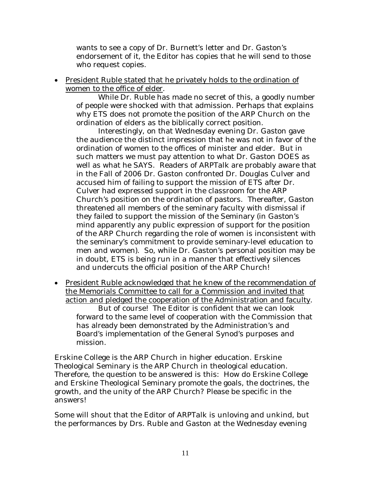wants to see a copy of Dr. Burnett's letter and Dr. Gaston's endorsement of it, the Editor has copies that he will send to those who request copies.

 President Ruble stated that he privately holds to the ordination of women to the office of elder.

While Dr. Ruble has made no secret of this, a goodly number of people were shocked with that admission. Perhaps that explains why ETS does not promote the position of the ARP Church on the ordination of elders as the biblically correct position.

Interestingly, on that Wednesday evening Dr. Gaston gave the audience the distinct impression that he was not in favor of the ordination of women to the offices of minister and elder. But in such matters we must pay attention to what Dr. Gaston DOES as well as what he SAYS. Readers of *ARPTalk* are probably aware that in the Fall of 2006 Dr. Gaston confronted Dr. Douglas Culver and accused him of failing to support the mission of ETS after Dr. Culver had expressed support in the classroom for the ARP Church's position on the ordination of pastors. Thereafter, Gaston threatened all members of the seminary faculty with dismissal if they failed to support the mission of the Seminary (in Gaston's mind apparently any public expression of support for the position of the ARP Church regarding the role of women is inconsistent with the seminary's commitment to provide seminary-level education to men and women). So, while Dr. Gaston's personal position may be in doubt, ETS is being run in a manner that effectively silences and undercuts the official position of the ARP Church!

 President Ruble acknowledged that he knew of the recommendation of the Memorials Committee to call for a Commission and invited that action and pledged the cooperation of the Administration and faculty. But of course! The Editor is confident that we can look forward to the same level of cooperation with the Commission that has already been demonstrated by the Administration's and Board's implementation of the General Synod's purposes and mission.

Erskine College is the ARP Church in higher education. Erskine Theological Seminary is the ARP Church in theological education. Therefore, the question to be answered is this: How do Erskine College and Erskine Theological Seminary promote the goals, the doctrines, the growth, and the unity of the ARP Church? Please be specific in the answers!

Some will shout that the Editor of *ARPTalk* is unloving and unkind, but the performances by Drs. Ruble and Gaston at the Wednesday evening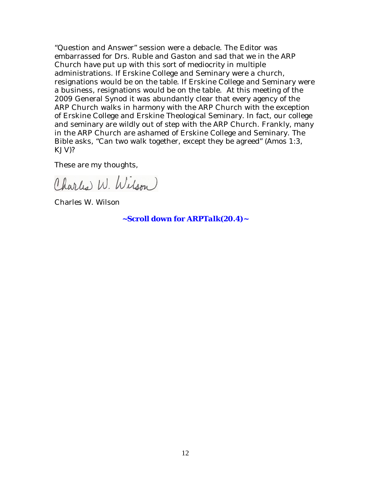"Question and Answer" session were a debacle. The Editor was embarrassed for Drs. Ruble and Gaston and sad that we in the ARP Church have put up with this sort of mediocrity in multiple administrations. If Erskine College and Seminary were a church, resignations would be on the table. If Erskine College and Seminary were a business, resignations would be on the table. At this meeting of the 2009 General Synod it was abundantly clear that every agency of the ARP Church walks in harmony with the ARP Church with the exception of Erskine College and Erskine Theological Seminary. In fact, our college and seminary are wildly out of step with the ARP Church. Frankly, many in the ARP Church are ashamed of Erskine College and Seminary. The Bible asks, "Can two walk together, except they be agreed" (Amos 1:3, KJV)?

These are my thoughts,

Charles W. Wilson

Charles W. Wilson

**~Scroll down for** *ARPTalk(20.4)~*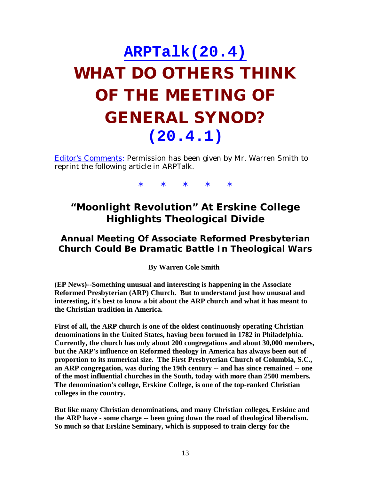## **ARPTalk(20.4) WHAT DO OTHERS THINK OF THE MEETING OF GENERAL SYNOD? (20.4.1)**

Editor's Comments: Permission has been given by Mr. Warren Smith to reprint the following article in *ARPTalk*.

\* \* \* \* \*

#### **"Moonlight Revolution" At Erskine College Highlights Theological Divide**

#### *Annual Meeting Of Associate Reformed Presbyterian Church Could Be Dramatic Battle In Theological Wars*

**By Warren Cole Smith**

**(EP News)--Something unusual and interesting is happening in the Associate Reformed Presbyterian (ARP) Church. But to understand just how unusual and interesting, it's best to know a bit about the ARP church and what it has meant to the Christian tradition in America.**

**First of all, the ARP church is one of the oldest continuously operating Christian denominations in the United States, having been formed in 1782 in Philadelphia. Currently, the church has only about 200 congregations and about 30,000 members, but the ARP's influence on Reformed theology in America has always been out of proportion to its numerical size. The First Presbyterian Church of Columbia, S.C., an ARP congregation, was during the 19th century -- and has since remained -- one of the most influential churches in the South, today with more than 2500 members. The denomination's college, Erskine College, is one of the top-ranked Christian colleges in the country.**

**But like many Christian denominations, and many Christian colleges, Erskine and the ARP have - some charge -- been going down the road of theological liberalism. So much so that Erskine Seminary, which is supposed to train clergy for the**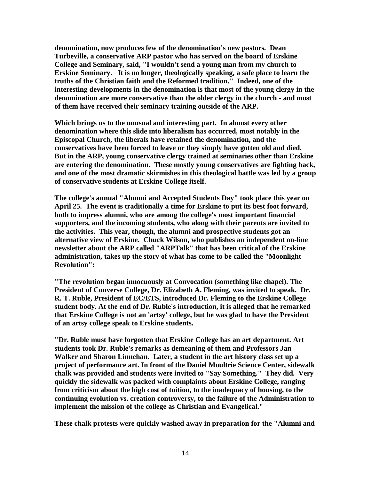**denomination, now produces few of the denomination's new pastors. Dean Turbeville, a conservative ARP pastor who has served on the board of Erskine College and Seminary, said, "I wouldn't send a young man from my church to Erskine Seminary. It is no longer, theologically speaking, a safe place to learn the truths of the Christian faith and the Reformed tradition." Indeed, one of the interesting developments in the denomination is that most of the young clergy in the denomination are more conservative than the older clergy in the church - and most of them have received their seminary training outside of the ARP.**

**Which brings us to the unusual and interesting part. In almost every other denomination where this slide into liberalism has occurred, most notably in the Episcopal Church, the liberals have retained the denomination, and the conservatives have been forced to leave or they simply have gotten old and died. But in the ARP, young conservative clergy trained at seminaries other than Erskine are entering the denomination. These mostly young conservatives are fighting back, and one of the most dramatic skirmishes in this theological battle was led by a group of conservative students at Erskine College itself.**

**The college's annual "Alumni and Accepted Students Day" took place this year on April 25. The event is traditionally a time for Erskine to put its best foot forward, both to impress alumni, who are among the college's most important financial supporters, and the incoming students, who along with their parents are invited to the activities. This year, though, the alumni and prospective students got an alternative view of Erskine. Chuck Wilson, who publishes an independent on-line newsletter about the ARP called "ARPTalk" that has been critical of the Erskine administration, takes up the story of what has come to be called the "Moonlight Revolution":**

**"The revolution began innocuously at Convocation (something like chapel). The President of Converse College, Dr. Elizabeth A. Fleming, was invited to speak. Dr. R. T. Ruble, President of EC/ETS, introduced Dr. Fleming to the Erskine College student body. At the end of Dr. Ruble's introduction, it is alleged that he remarked that Erskine College is not an 'artsy' college, but he was glad to have the President of an artsy college speak to Erskine students.**

**"Dr. Ruble must have forgotten that Erskine College has an art department. Art students took Dr. Ruble's remarks as demeaning of them and Professors Jan Walker and Sharon Linnehan. Later, a student in the art history class set up a project of performance art. In front of the Daniel Moultrie Science Center, sidewalk chalk was provided and students were invited to "Say Something." They did. Very quickly the sidewalk was packed with complaints about Erskine College, ranging from criticism about the high cost of tuition, to the inadequacy of housing, to the continuing evolution vs. creation controversy, to the failure of the Administration to implement the mission of the college as Christian and Evangelical."**

**These chalk protests were quickly washed away in preparation for the "Alumni and**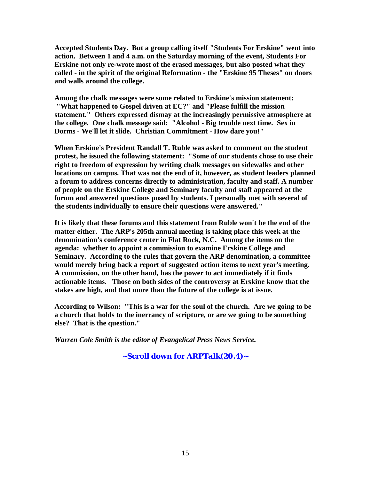**Accepted Students Day. But a group calling itself "Students For Erskine" went into action. Between 1 and 4 a.m. on the Saturday morning of the event, Students For Erskine not only re-wrote most of the erased messages, but also posted what they called - in the spirit of the original Reformation - the "Erskine 95 Theses" on doors and walls around the college.**

**Among the chalk messages were some related to Erskine's mission statement: "What happened to Gospel driven at EC?" and "Please fulfill the mission statement." Others expressed dismay at the increasingly permissive atmosphere at the college. One chalk message said: "Alcohol - Big trouble next time. Sex in Dorms - We'll let it slide. Christian Commitment - How dare you!"**

**When Erskine's President Randall T. Ruble was asked to comment on the student protest, he issued the following statement: "Some of our students chose to use their right to freedom of expression by writing chalk messages on sidewalks and other locations on campus. That was not the end of it, however, as student leaders planned a forum to address concerns directly to administration, faculty and staff. A number of people on the Erskine College and Seminary faculty and staff appeared at the forum and answered questions posed by students. I personally met with several of the students individually to ensure their questions were answered."**

**It is likely that these forums and this statement from Ruble won't be the end of the matter either. The ARP's 205th annual meeting is taking place this week at the denomination's conference center in Flat Rock, N.C. Among the items on the agenda: whether to appoint a commission to examine Erskine College and Seminary. According to the rules that govern the ARP denomination, a committee would merely bring back a report of suggested action items to next year's meeting. A commission, on the other hand, has the power to act immediately if it finds actionable items. Those on both sides of the controversy at Erskine know that the stakes are high, and that more than the future of the college is at issue.**

**According to Wilson: "This is a war for the soul of the church. Are we going to be a church that holds to the inerrancy of scripture, or are we going to be something else? That is the question."**

*Warren Cole Smith is the editor of Evangelical Press News Service.*

**~Scroll down for** *ARPTalk(20.4)~*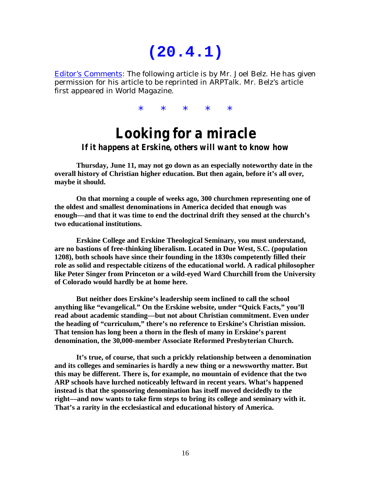### **(20.4.1)**

Editor's Comments: The following article is by Mr. Joel Belz. He has given permission for his article to be reprinted in *ARPTalk*. Mr. Belz's article first appeared in *World Magazine*.

\* \* \* \* \*

### *Looking for a miracle If it happens at Erskine, others will want to know how*

**Thursday, June 11, may not go down as an especially noteworthy date in the overall history of Christian higher education. But then again, before it's all over, maybe it should.**

**On that morning a couple of weeks ago, 300 churchmen representing one of the oldest and smallest denominations in America decided that enough was enough—and that it was time to end the doctrinal drift they sensed at the church's two educational institutions.**

**Erskine College and Erskine Theological Seminary, you must understand, are no bastions of free-thinking liberalism. Located in Due West, S.C. (population 1208), both schools have since their founding in the 1830s competently filled their role as solid and respectable citizens of the educational world. A radical philosopher like Peter Singer from Princeton or a wild-eyed Ward Churchill from the University of Colorado would hardly be at home here.**

**But neither does Erskine's leadership seem inclined to call the school anything like "evangelical." On the Erskine website, under "Quick Facts," you'll read about academic standing—but not about Christian commitment. Even under the heading of "curriculum," there's no reference to Erskine's Christian mission. That tension has long been a thorn in the flesh of many in Erskine's parent denomination, the 30,000-member Associate Reformed Presbyterian Church.**

**It's true, of course, that such a prickly relationship between a denomination and its colleges and seminaries is hardly a new thing or a newsworthy matter. But this may be different. There is, for example, no mountain of evidence that the two ARP schools have lurched noticeably leftward in recent years. What's happened instead is that the sponsoring denomination has itself moved decidedly to the right—and now wants to take firm steps to bring its college and seminary with it. That's a rarity in the ecclesiastical and educational history of America.**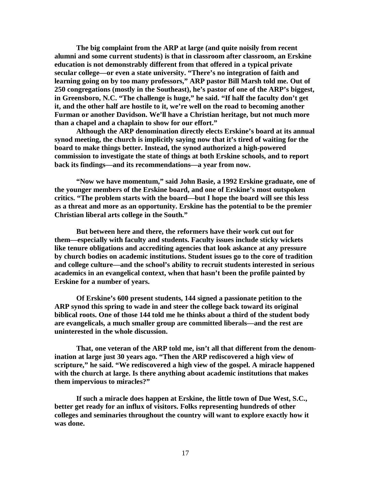**The big complaint from the ARP at large (and quite noisily from recent alumni and some current students) is that in classroom after classroom, an Erskine education is not demonstrably different from that offered in a typical private secular college—or even a state university. "There's no integration of faith and learning going on by too many professors," ARP pastor Bill Marsh told me. Out of 250 congregations (mostly in the Southeast), he's pastor of one of the ARP's biggest, in Greensboro, N.C. "The challenge is huge," he said. "If half the faculty don't get it, and the other half are hostile to it, we're well on the road to becoming another Furman or another Davidson. We'll have a Christian heritage, but not much more than a chapel and a chaplain to show for our effort."**

**Although the ARP denomination directly elects Erskine's board at its annual synod meeting, the church is implicitly saying now that it's tired of waiting for the board to make things better. Instead, the synod authorized a high-powered commission to investigate the state of things at both Erskine schools, and to report back its findings—and its recommendations—a year from now.**

**"Now we have momentum," said John Basie, a 1992 Erskine graduate, one of the younger members of the Erskine board, and one of Erskine's most outspoken critics. "The problem starts with the board—but I hope the board will see this less as a threat and more as an opportunity. Erskine has the potential to be the premier Christian liberal arts college in the South."**

**But between here and there, the reformers have their work cut out for them—especially with faculty and students. Faculty issues include sticky wickets like tenure obligations and accrediting agencies that look askance at any pressure by church bodies on academic institutions. Student issues go to the core of tradition and college culture—and the school's ability to recruit students interested in serious academics in an evangelical context, when that hasn't been the profile painted by Erskine for a number of years.**

**Of Erskine's 600 present students, 144 signed a passionate petition to the ARP synod this spring to wade in and steer the college back toward its original biblical roots. One of those 144 told me he thinks about a third of the student body are evangelicals, a much smaller group are committed liberals—and the rest are uninterested in the whole discussion.**

**That, one veteran of the ARP told me, isn't all that different from the denomination at large just 30 years ago. "Then the ARP rediscovered a high view of scripture," he said. "We rediscovered a high view of the gospel. A miracle happened with the church at large. Is there anything about academic institutions that makes them impervious to miracles?"**

**If such a miracle does happen at Erskine, the little town of Due West, S.C., better get ready for an influx of visitors. Folks representing hundreds of other colleges and seminaries throughout the country will want to explore exactly how it was done.**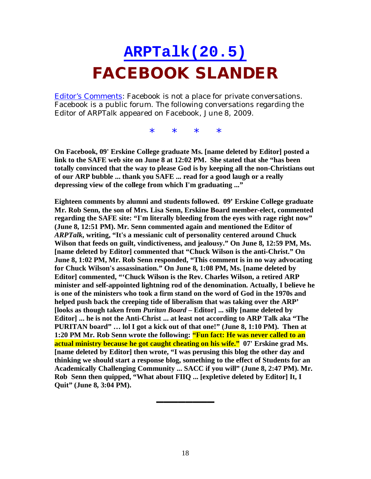### **ARPTalk(20.5) FACEBOOK SLANDER**

Editor's Comments: Facebook is not a place for private conversations. Facebook is a public forum. The following conversations regarding the Editor of *ARPTalk* appeared on Facebook, June 8, 2009.

\* \* \* \*

**On Facebook, 09' Erskine College graduate Ms. [name deleted by Editor] posted a link to the SAFE web site on June 8 at 12:02 PM. She stated that she "has been totally convinced that the way to please God is by keeping all the non-Christians out of our ARP bubble ... thank you SAFE ... read for a good laugh or a really depressing view of the college from which I'm graduating ..."**

**Eighteen comments by alumni and students followed. 09' Erskine College graduate Mr. Rob Senn, the son of Mrs. Lisa Senn, Erskine Board member-elect, commented regarding the SAFE site: "I'm literally bleeding from the eyes with rage right now" (June 8, 12:51 PM). Mr. Senn commented again and mentioned the Editor of** *ARPTalk***, writing, "It's a messianic cult of personality centered around Chuck Wilson that feeds on guilt, vindictiveness, and jealousy." On June 8, 12:59 PM, Ms. [name deleted by Editor] commented that "Chuck Wilson is the anti-Christ." On June 8, 1:02 PM, Mr. Rob Senn responded, "This comment is in no way advocating for Chuck Wilson's assassination." On June 8, 1:08 PM, Ms. [name deleted by Editor] commented, "'Chuck Wilson is the Rev. Charles Wilson, a retired ARP minister and self-appointed lightning rod of the denomination. Actually, I believe he is one of the ministers who took a firm stand on the word of God in the 1970s and helped push back the creeping tide of liberalism that was taking over the ARP' [looks as though taken from** *Puritan Board* **– Editor] ... silly [name deleted by Editor] ... he is not the Anti-Christ ... at least not according to ARP Talk aka "The PURITAN board" … lol I got a kick out of that one!" (June 8, 1:10 PM). Then at 1:20 PM Mr. Rob Senn wrote the following: "Fun fact: He was never called to an actual ministry because he got caught cheating on his wife." 07' Erskine grad Ms. [name deleted by Editor] then wrote, "I was perusing this blog the other day and thinking we should start a response blog, something to the effect of Students for an Academically Challenging Community ... SACC if you will" (June 8, 2:47 PM). Mr. Rob Senn then quipped, "What about FIIQ ... [expletive deleted by Editor] It, I Quit" (June 8, 3:04 PM).**

▬▬▬▬▬▬▬▬